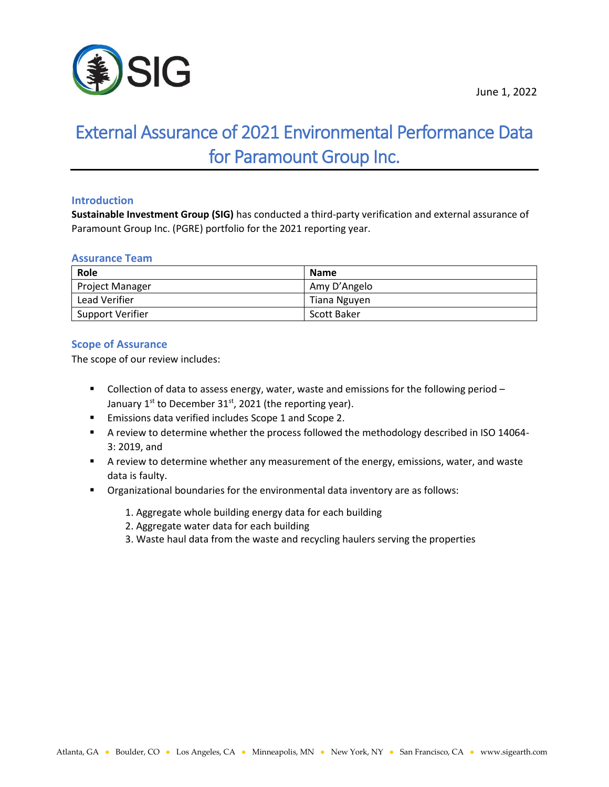

# External Assurance of 2021 Environmental Performance Data for Paramount Group Inc.

# **Introduction**

**Sustainable Investment Group (SIG)** has conducted a third-party verification and external assurance of Paramount Group Inc. (PGRE) portfolio for the 2021 reporting year.

## **Assurance Team**

| Role                   | <b>Name</b>        |
|------------------------|--------------------|
| <b>Project Manager</b> | Amy D'Angelo       |
| Lead Verifier          | Tiana Nguyen       |
| Support Verifier       | <b>Scott Baker</b> |

# **Scope of Assurance**

The scope of our review includes:

- Collection of data to assess energy, water, waste and emissions for the following period January  $1^{st}$  to December 31 $^{st}$ , 2021 (the reporting year).
- Emissions data verified includes Scope 1 and Scope 2.
- **E** A review to determine whether the process followed the methodology described in ISO 14064-3: 2019, and
- **EX A review to determine whether any measurement of the energy, emissions, water, and waste** data is faulty.
- Organizational boundaries for the environmental data inventory are as follows:
	- 1. Aggregate whole building energy data for each building
	- 2. Aggregate water data for each building
	- 3. Waste haul data from the waste and recycling haulers serving the properties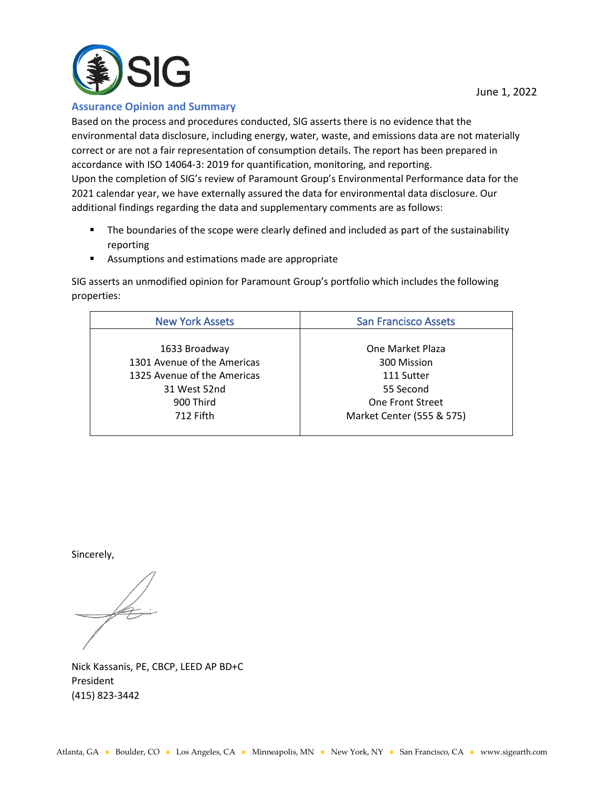

**Assurance Opinion and Summary**

Based on the process and procedures conducted, SIG asserts there is no evidence that the environmental data disclosure, including energy, water, waste, and emissions data are not materially correct or are not a fair representation of consumption details. The report has been prepared in accordance with ISO 14064-3: 2019 for quantification, monitoring, and reporting. Upon the completion of SIG's review of Paramount Group's Environmental Performance data for the 2021 calendar year, we have externally assured the data for environmental data disclosure. Our additional findings regarding the data and supplementary comments are as follows:

- **•** The boundaries of the scope were clearly defined and included as part of the sustainability reporting
- Assumptions and estimations made are appropriate

SIG asserts an unmodified opinion for Paramount Group's portfolio which includes the following properties:

| <b>New York Assets</b>      | <b>San Francisco Assets</b> |
|-----------------------------|-----------------------------|
|                             |                             |
| 1633 Broadway               | One Market Plaza            |
| 1301 Avenue of the Americas | 300 Mission                 |
| 1325 Avenue of the Americas | 111 Sutter                  |
| 31 West 52nd                | 55 Second                   |
| 900 Third                   | <b>One Front Street</b>     |
| 712 Fifth                   | Market Center (555 & 575)   |
|                             |                             |

Sincerely,

 $\cancel{\mathscr{A}}$ 

Nick Kassanis, PE, CBCP, LEED AP BD+C President (415) 823-3442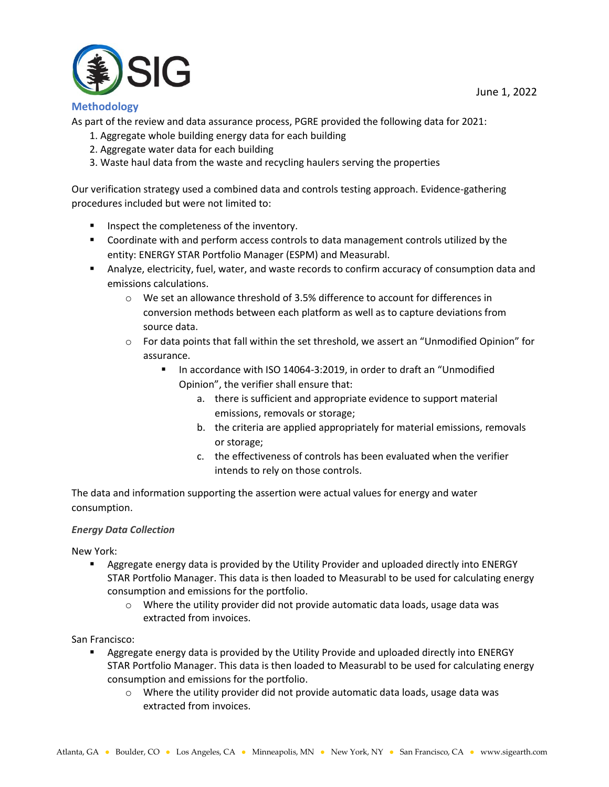

# **Methodology**

As part of the review and data assurance process, PGRE provided the following data for 2021:

- 1. Aggregate whole building energy data for each building
- 2. Aggregate water data for each building
- 3. Waste haul data from the waste and recycling haulers serving the properties

Our verification strategy used a combined data and controls testing approach. Evidence-gathering procedures included but were not limited to:

- Inspect the completeness of the inventory.
- Coordinate with and perform access controls to data management controls utilized by the entity: ENERGY STAR Portfolio Manager (ESPM) and Measurabl.
- Analyze, electricity, fuel, water, and waste records to confirm accuracy of consumption data and emissions calculations.
	- o We set an allowance threshold of 3.5% difference to account for differences in conversion methods between each platform as well as to capture deviations from source data.
	- $\circ$  For data points that fall within the set threshold, we assert an "Unmodified Opinion" for assurance.
		- In accordance with ISO 14064-3:2019, in order to draft an "Unmodified Opinion", the verifier shall ensure that:
			- a. there is sufficient and appropriate evidence to support material emissions, removals or storage;
			- b. the criteria are applied appropriately for material emissions, removals or storage;
			- c. the effectiveness of controls has been evaluated when the verifier intends to rely on those controls.

The data and information supporting the assertion were actual values for energy and water consumption.

# *Energy Data Collection*

New York:

- **EXECT** Aggregate energy data is provided by the Utility Provider and uploaded directly into ENERGY STAR Portfolio Manager. This data is then loaded to Measurabl to be used for calculating energy consumption and emissions for the portfolio.
	- $\circ$  Where the utility provider did not provide automatic data loads, usage data was extracted from invoices.

San Francisco:

- Aggregate energy data is provided by the Utility Provide and uploaded directly into ENERGY STAR Portfolio Manager. This data is then loaded to Measurabl to be used for calculating energy consumption and emissions for the portfolio.
	- $\circ$  Where the utility provider did not provide automatic data loads, usage data was extracted from invoices.